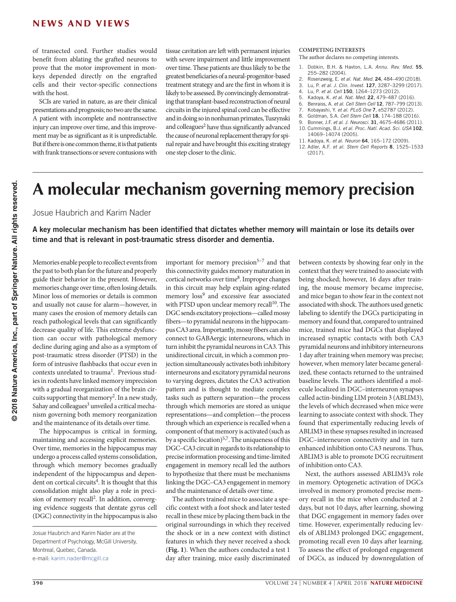of transected cord. Further studies would benefit from ablating the grafted neurons to prove that the motor improvement in monkeys depended directly on the engrafted cells and their vector-specific connections with the host.

SCIs are varied in nature, as are their clinical presentations and prognosis; no two are the same. A patient with incomplete and nontransective injury can improve over time, and this improvement may be as significant as it is unpredictable. But if there is one common theme, it is that patients with frank transections or severe contusions with

tissue cavitation are left with permanent injuries with severe impairment and little improvement over time. These patients are thus likely to be the greatest beneficiaries of a neural-progenitor-based treatment strategy and are the first in whom it is likely to be assessed. By convincingly demonstrating that transplant-based reconstruction of neural circuits in the injured spinal cord can be effective and in doing so in nonhuman primates, Tuszynski and colleagues<sup>2</sup> have thus significantly advanced the cause of neuronal replacement therapy for spinal repair and have brought this exciting strategy one step closer to the clinic.

## **COMPETING INTERESTS**

The author declares no competing interests.

- 1. Dobkin, B.H. & Havton, L.A. *Annu. Rev. Med.* 55, 255–282 (2004).
- 2. Rosenzweig, E. *et al. Nat. Med.* 24, 484–490 (2018).
- 3. Lu, P. *et al. J. Clin. Invest.* 127, 3287–3299 (2017).
- 4. Lu, P. *et al. Cell* 150, 1264–1273 (2012).
- 5. Kadoya, K. *et al. Nat. Med.* 22, 479–487 (2016).
- 6. Benraiss, A. *et al. Cell Stem Cell* 12, 787–799 (2013).
- 7. Kobayashi, Y. *et al. PLoS One* 7, e52787 (2012). 8. Goldman, S.A. *Cell Stem Cell* 18, 174–188 (2016).
- 9. Bonner, J.F. *et al. J. Neurosci.* 31, 4675–4686 (2011).
- 10. Cummings, B.J. *et al. Proc. Natl. Acad. Sci. USA* 102, 14069–14074 (2005).
- 11. Kadoya, K. *et al. Neuron* 64, 165–172 (2009).
- 12. Adler, A.F. *et al. Stem Cell Reports* 8, 1525–1533  $(2017)$

## **A molecular mechanism governing memory precision**

Josue Haubrich and Karim Nader

A key molecular mechanism has been identified that dictates whether memory will maintain or lose its details over time and that is relevant in post-traumatic stress disorder and dementia.

Memories enable people to recollect events from the past to both plan for the future and properly guide their behavior in the present. However, memories change over time, often losing details. Minor loss of memories or details is common and usually not cause for alarm—however, in many cases the erosion of memory details can reach pathological levels that can significantly decrease quality of life. This extreme dysfunction can occur with pathological memory decline during aging and also as a symptom of post-traumatic stress disorder (PTSD) in the form of intrusive flashbacks that occur even in  $contexts$  unrelated to trauma<sup>1</sup>. Previous studies in rodents have linked memory imprecision with a gradual reorganization of the brain circuits supporting that memory<sup>2</sup>. In a new study, Sahay and colleagues<sup>3</sup> unveiled a critical mechanism governing both memory reorganization and the maintenance of its details over time.

The hippocampus is critical in forming, maintaining and accessing explicit memories. Over time, memories in the hippocampus may undergo a process called systems consolidation, through which memory becomes gradually independent of the hippocampus and dependent on cortical circuits<sup>4</sup>. It is thought that this consolidation might also play a role in precision of memory recall2. In addition, converging evidence suggests that dentate gyrus cell (DGC) connectivity in the hippocampus is also

important for memory precision $5-7$  and that this connectivity guides memory maturation in cortical networks over time<sup>8</sup>. Improper changes in this circuit may help explain aging-related memory loss<sup>9</sup> and excessive fear associated with PTSD upon unclear memory recall<sup>10</sup>. The DGC sends excitatory projections—called mossy fibers—to pyramidal neurons in the hippocampus CA3 area. Importantly, mossy fibers can also connect to GABAergic interneurons, which in turn inhibit the pyramidal neurons in CA3. This unidirectional circuit, in which a common projection simultaneously activates both inhibitory interneurons and excitatory pyramidal neurons to varying degrees, dictates the CA3 activation pattern and is thought to mediate complex tasks such as pattern separation—the process through which memories are stored as unique representations—and completion—the process through which an experience is recalled when a component of that memory is activated (such as by a specific location)<sup>5,7</sup>. The uniqueness of this DGC–CA3 circuit in regards to its relationship to precise information processing and time-limited engagement in memory recall led the authors to hypothesize that there must be mechanisms linking the DGC–CA3 engagement in memory and the maintenance of details over time.

The authors trained mice to associate a specific context with a foot shock and later tested recall in these mice by placing them back in the original surroundings in which they received the shock or in a new context with distinct features in which they never received a shock (**Fig. 1**). When the authors conducted a test 1 day after training, mice easily discriminated

between contexts by showing fear only in the context that they were trained to associate with being shocked; however, 16 days after training, the mouse memory became imprecise, and mice began to show fear in the context not associated with shock. The authors used genetic labeling to identify the DGCs participating in memory and found that, compared to untrained mice, trained mice had DGCs that displayed increased synaptic contacts with both CA3 pyramidal neurons and inhibitory interneurons 1 day after training when memory was precise; however, when memory later became generalized, these contacts returned to the untrained baseline levels. The authors identified a molecule localized in DGC–interneuron synapses called actin-binding LIM protein 3 (ABLIM3), the levels of which decreased when mice were learning to associate context with shock. They found that experimentally reducing levels of ABLIM3 in these synapses resulted in increased DGC–interneuron connectivity and in turn enhanced inhibition onto CA3 neurons. Thus, ABLIM3 is able to promote DCG recruitment of inhibition onto CA3.

Next, the authors assessed ABLIM3's role in memory. Optogenetic activation of DGCs involved in memory promoted precise memory recall in the mice when conducted at 2 days, but not 10 days, after learning, showing that DGC engagement in memory fades over time. However, experimentally reducing levels of ABLIM3 prolonged DGC engagement, promoting recall even 10 days after learning. To assess the effect of prolonged engagement of DGCs, as induced by downregulation of

Josue Haubrich and Karim Nader are at the Department of Psychology, McGill University, Montreal, Quebec, Canada. e-mail: [karim.nader@mcgill.ca](mailto:karim.nader@mcgill.ca)